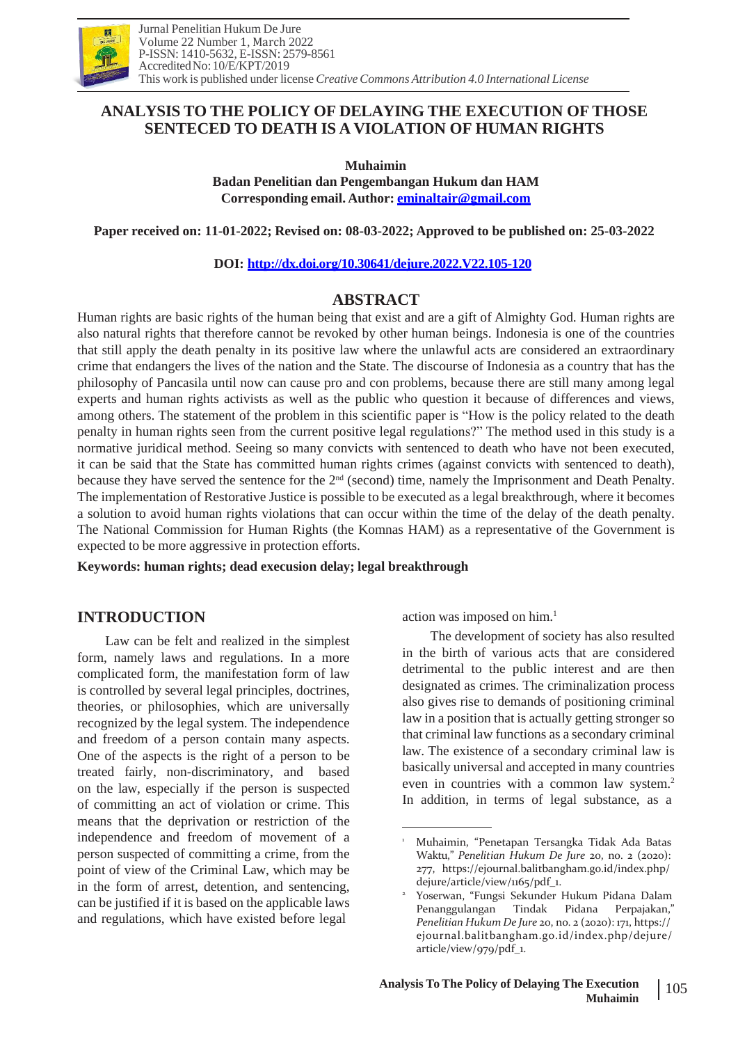

# **ANALYSIS TO THE POLICY OF DELAYING THE EXECUTION OF THOSE SENTECED TO DEATH IS A VIOLATION OF HUMAN RIGHTS**

**Muhaimin**

**Badan Penelitian dan Pengembangan Hukum dan HAM Corresponding email. Author: [eminaltair@gmail.com](mailto:eminaltair@gmail.com)**

**Paper received on: 11-01-2022; Revised on: 08-03-2022; Approved to be published on: 25-03-2022**

**DOI: <http://dx.doi.org/10.30641/dejure.2022.V22.105-120>**

# **ABSTRACT**

Human rights are basic rights of the human being that exist and are a gift of Almighty God. Human rights are also natural rights that therefore cannot be revoked by other human beings. Indonesia is one of the countries that still apply the death penalty in its positive law where the unlawful acts are considered an extraordinary crime that endangers the lives of the nation and the State. The discourse of Indonesia as a country that has the philosophy of Pancasila until now can cause pro and con problems, because there are still many among legal experts and human rights activists as well as the public who question it because of differences and views, among others. The statement of the problem in this scientific paper is "How is the policy related to the death penalty in human rights seen from the current positive legal regulations?" The method used in this study is a normative juridical method. Seeing so many convicts with sentenced to death who have not been executed, it can be said that the State has committed human rights crimes (against convicts with sentenced to death), because they have served the sentence for the  $2<sup>nd</sup>$  (second) time, namely the Imprisonment and Death Penalty. The implementation of Restorative Justice is possible to be executed as a legal breakthrough, where it becomes a solution to avoid human rights violations that can occur within the time of the delay of the death penalty. The National Commission for Human Rights (the Komnas HAM) as a representative of the Government is expected to be more aggressive in protection efforts.

**Keywords: human rights; dead execusion delay; legal breakthrough**

# **INTRODUCTION**

Law can be felt and realized in the simplest form, namely laws and regulations. In a more complicated form, the manifestation form of law is controlled by several legal principles, doctrines, theories, or philosophies, which are universally recognized by the legal system. The independence and freedom of a person contain many aspects. One of the aspects is the right of a person to be treated fairly, non-discriminatory, and based on the law, especially if the person is suspected of committing an act of violation or crime. This means that the deprivation or restriction of the independence and freedom of movement of a person suspected of committing a crime, from the point of view of the Criminal Law, which may be in the form of arrest, detention, and sentencing, can be justified if it is based on the applicable laws and regulations, which have existed before legal

action was imposed on him.<sup>1</sup>

The development of society has also resulted in the birth of various acts that are considered detrimental to the public interest and are then designated as crimes. The criminalization process also gives rise to demands of positioning criminal law in a position that is actually getting stronger so that criminal law functions as a secondary criminal law. The existence of a secondary criminal law is basically universal and accepted in many countries even in countries with a common law system.<sup>2</sup> In addition, in terms of legal substance, as a

<sup>1</sup> Muhaimin, "Penetapan Tersangka Tidak Ada Batas Waktu," *Penelitian Hukum De Jure* 20, no. 2 (2020): 277, https://ejournal.balitbangham.go.id/index.php/ dejure/article/view/1165/pdf\_1.

<sup>2</sup> Yoserwan, "Fungsi Sekunder Hukum Pidana Dalam Penanggulangan Tindak Pidana Perpajakan," *Penelitian Hukum De Jure* 20, no. 2 (2020): 171, https:// ejournal.balitbangham.go.id/index.php/dejure/ article/view/979/pdf\_1.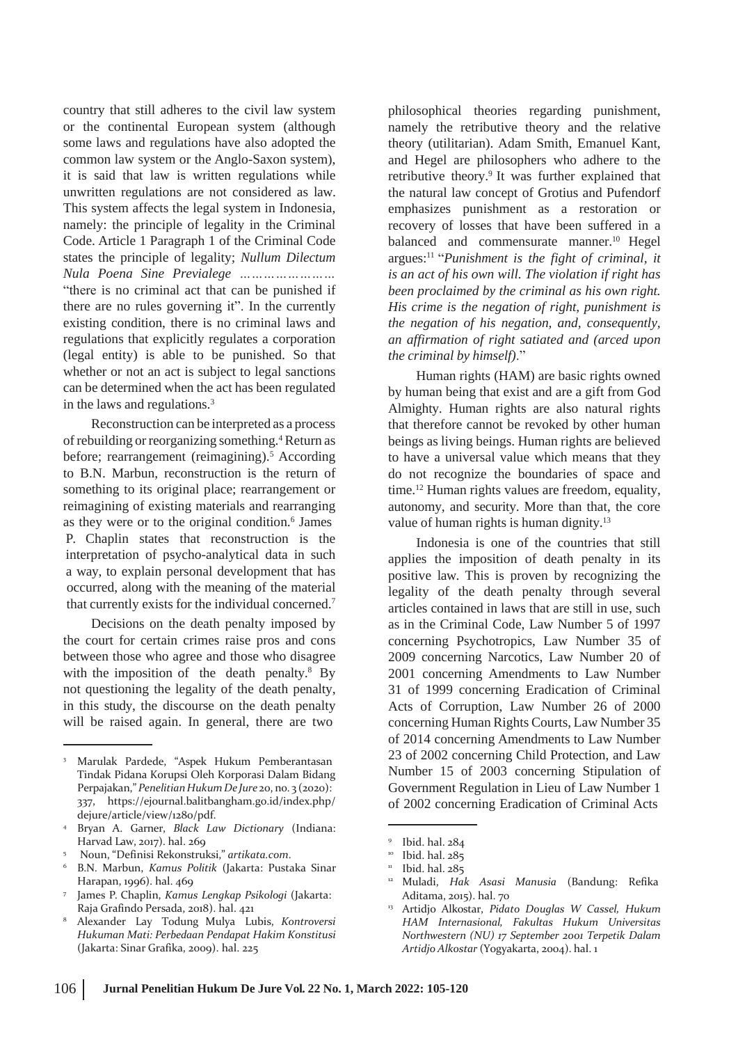country that still adheres to the civil law system or the continental European system (although some laws and regulations have also adopted the common law system or the Anglo-Saxon system), it is said that law is written regulations while unwritten regulations are not considered as law. This system affects the legal system in Indonesia, namely: the principle of legality in the Criminal Code. Article 1 Paragraph 1 of the Criminal Code states the principle of legality; *Nullum Dilectum Nula Poena Sine Previalege ……………………* "there is no criminal act that can be punished if there are no rules governing it". In the currently existing condition, there is no criminal laws and regulations that explicitly regulates a corporation (legal entity) is able to be punished. So that whether or not an act is subject to legal sanctions can be determined when the act has been regulated in the laws and regulations.<sup>3</sup>

Reconstruction can be interpreted as a process of rebuilding or reorganizing something.<sup>4</sup> Return as before; rearrangement (reimagining).<sup>5</sup> According to B.N. Marbun, reconstruction is the return of something to its original place; rearrangement or reimagining of existing materials and rearranging as they were or to the original condition.<sup>6</sup> James P. Chaplin states that reconstruction is the interpretation of psycho-analytical data in such a way, to explain personal development that has occurred, along with the meaning of the material that currently exists for the individual concerned.<sup>7</sup>

Decisions on the death penalty imposed by the court for certain crimes raise pros and cons between those who agree and those who disagree with the imposition of the death penalty. $8$  By not questioning the legality of the death penalty, in this study, the discourse on the death penalty will be raised again. In general, there are two

- Bryan A. Garner, *Black Law Dictionary* (Indiana: Harvad Law, 2017). hal. 269 4
- <sup>5</sup> Noun, "Definisi Rekonstruksi," *artikata.com*.
- B.N. Marbun, *Kamus Politik* (Jakarta: Pustaka Sinar 6 11 Harapan, 1996). hal. 469
- James P. Chaplin, *Kamus Lengkap Psikologi* (Jakarta: Raja Grafindo Persada, 2018). hal. 421 7
- Alexander Lay Todung Mulya Lubis, *Kontroversi Hukuman Mati: Perbedaan Pendapat Hakim Konstitusi* (Jakarta: Sinar Grafika, 2009). hal. 225 8

philosophical theories regarding punishment, namely the retributive theory and the relative theory (utilitarian). Adam Smith, Emanuel Kant, and Hegel are philosophers who adhere to the retributive theory.<sup>9</sup> It was further explained that the natural law concept of Grotius and Pufendorf emphasizes punishment as a restoration or recovery of losses that have been suffered in a balanced and commensurate manner.<sup>10</sup> Hegel argues:<sup>11</sup> "*Punishment is the fight of criminal, it is an act of his own will. The violation if right has been proclaimed by the criminal as his own right. His crime is the negation of right, punishment is the negation of his negation, and, consequently, an affirmation of right satiated and (arced upon the criminal by himself)*."

Human rights (HAM) are basic rights owned by human being that exist and are a gift from God Almighty. Human rights are also natural rights that therefore cannot be revoked by other human beings as living beings. Human rights are believed to have a universal value which means that they do not recognize the boundaries of space and time.<sup>12</sup> Human rights values are freedom, equality, autonomy, and security. More than that, the core value of human rights is human dignity.<sup>13</sup>

Indonesia is one of the countries that still applies the imposition of death penalty in its positive law. This is proven by recognizing the legality of the death penalty through several articles contained in laws that are still in use, such as in the Criminal Code, Law Number 5 of 1997 concerning Psychotropics, Law Number 35 of 2009 concerning Narcotics, Law Number 20 of 2001 concerning Amendments to Law Number 31 of 1999 concerning Eradication of Criminal Acts of Corruption, Law Number 26 of 2000 concerning Human Rights Courts, Law Number 35 of 2014 concerning Amendments to Law Number 23 of 2002 concerning Child Protection, and Law Number 15 of 2003 concerning Stipulation of Government Regulation in Lieu of Law Number 1 of 2002 concerning Eradication of Criminal Acts

<sup>3</sup> Marulak Pardede, "Aspek Hukum Pemberantasan Tindak Pidana Korupsi Oleh Korporasi Dalam Bidang Perpajakan," *PenelitianHukum De Jure* 20, no. 3 (2020): 337, https://ejournal.balitbangham.go.id/index.php/ dejure/article/view/1280/pdf.

 $\overline{Q}$ Ibid. hal. 284

Ibid. hal. 285

Ibid. hal. 285

Muladi, *Hak Asasi Manusia* (Bandung: Refika Aditama, 2015). hal. 70 12

Artidjo Alkostar, *Pidato Douglas W Cassel, Hukum HAM Internasional, Fakultas Hukum Universitas Northwestern (NU) 17 September 2001 Terpetik Dalam Artidjo Alkostar* (Yogyakarta, 2004). hal. 1 13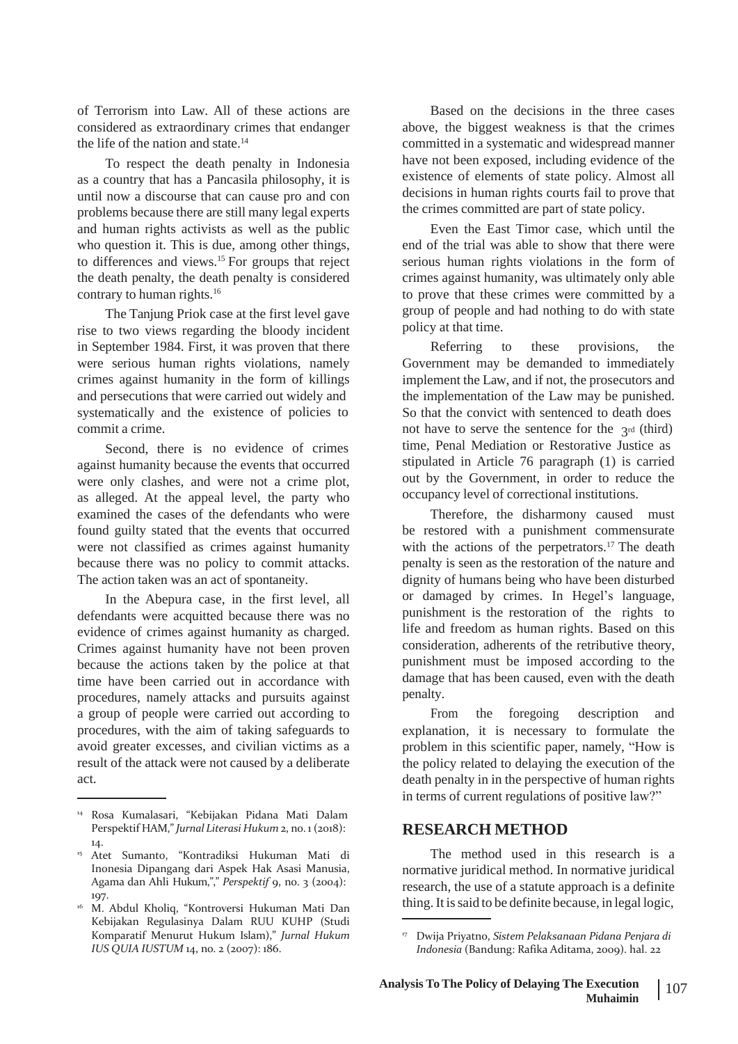of Terrorism into Law. All of these actions are considered as extraordinary crimes that endanger the life of the nation and state.<sup>14</sup>

To respect the death penalty in Indonesia as a country that has a Pancasila philosophy, it is until now a discourse that can cause pro and con problems because there are still many legal experts and human rights activists as well as the public who question it. This is due, among other things, to differences and views.<sup>15</sup> For groups that reject the death penalty, the death penalty is considered contrary to human rights.<sup>16</sup>

The Tanjung Priok case at the first level gave rise to two views regarding the bloody incident in September 1984. First, it was proven that there were serious human rights violations, namely crimes against humanity in the form of killings and persecutions that were carried out widely and systematically and the existence of policies to So that the convict with sentenced to death does commit a crime.

Second, there is no evidence of crimes against humanity because the events that occurred were only clashes, and were not a crime plot, as alleged. At the appeal level, the party who examined the cases of the defendants who were found guilty stated that the events that occurred were not classified as crimes against humanity because there was no policy to commit attacks. The action taken was an act of spontaneity.

In the Abepura case, in the first level, all defendants were acquitted because there was no evidence of crimes against humanity as charged. Crimes against humanity have not been proven because the actions taken by the police at that time have been carried out in accordance with procedures, namely attacks and pursuits against a group of people were carried out according to procedures, with the aim of taking safeguards to avoid greater excesses, and civilian victims as a result of the attack were not caused by a deliberate act.

Based on the decisions in the three cases above, the biggest weakness is that the crimes committed in a systematic and widespread manner have not been exposed, including evidence of the existence of elements of state policy. Almost all decisions in human rights courts fail to prove that the crimes committed are part of state policy.

Even the East Timor case, which until the end of the trial was able to show that there were serious human rights violations in the form of crimes against humanity, was ultimately only able to prove that these crimes were committed by a group of people and had nothing to do with state policy at that time.

Referring to these provisions, the Government may be demanded to immediately implement the Law, and if not, the prosecutors and the implementation of the Law may be punished. not have to serve the sentence for the  $3<sup>rd</sup>$  (third) time, Penal Mediation or Restorative Justice as stipulated in Article 76 paragraph (1) is carried out by the Government, in order to reduce the occupancy level of correctional institutions.

Therefore, the disharmony caused must be restored with a punishment commensurate with the actions of the perpetrators.<sup>17</sup> The death penalty is seen as the restoration of the nature and dignity of humans being who have been disturbed or damaged by crimes. In Hegel's language, punishment is the restoration of the rights to life and freedom as human rights. Based on this consideration, adherents of the retributive theory, punishment must be imposed according to the damage that has been caused, even with the death penalty.

From the foregoing description and explanation, it is necessary to formulate the problem in this scientific paper, namely, "How is the policy related to delaying the execution of the death penalty in in the perspective of human rights in terms of current regulations of positive law?"

### **RESEARCH METHOD**

The method used in this research is a normative juridical method. In normative juridical research, the use of a statute approach is a definite thing.It issaid to be definite because, in legal logic,

<sup>14</sup> Rosa Kumalasari, "Kebijakan Pidana Mati Dalam Perspektif HAM,"*Jurnal Literasi Hukum* 2, no. 1 (2018): 14.

Atet Sumanto, "Kontradiksi Hukuman Mati di 15 Inonesia Dipangang dari Aspek Hak Asasi Manusia, Agama dan Ahli Hukum,"," *Perspektif* 9, no. 3 (2004): 197.

M. Abdul Kholiq, "Kontroversi Hukuman Mati Dan 16 Kebijakan Regulasinya Dalam RUU KUHP (Studi Komparatif Menurut Hukum Islam)," *Jurnal Hukum IUS QUIA IUSTUM* 14, no. 2 (2007): 186.

<sup>17</sup> Dwija Priyatno, *Sistem Pelaksanaan Pidana Penjara di Indonesia* (Bandung: Rafika Aditama, 2009). hal. 22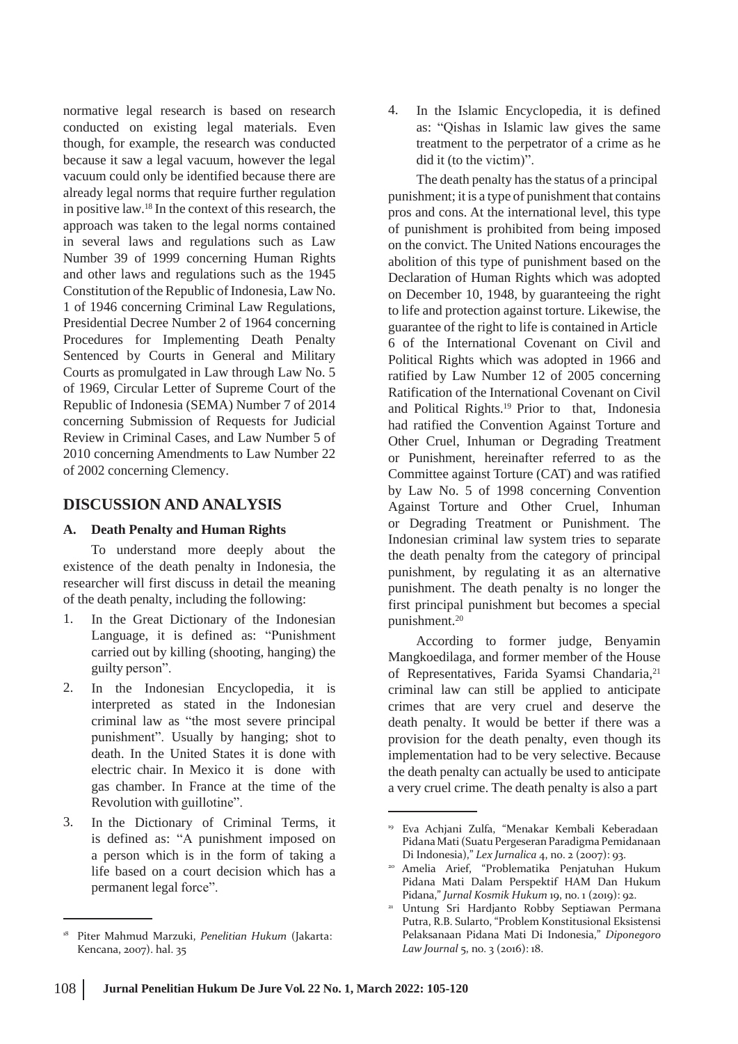normative legal research is based on research conducted on existing legal materials. Even though, for example, the research was conducted because it saw a legal vacuum, however the legal vacuum could only be identified because there are already legal norms that require further regulation in positive law.<sup>18</sup> In the context of this research, the approach was taken to the legal norms contained in several laws and regulations such as Law Number 39 of 1999 concerning Human Rights and other laws and regulations such as the 1945 Constitution of the Republic of Indonesia, Law No. 1 of 1946 concerning Criminal Law Regulations, Presidential Decree Number 2 of 1964 concerning Procedures for Implementing Death Penalty Sentenced by Courts in General and Military Courts as promulgated in Law through Law No. 5 of 1969, Circular Letter of Supreme Court of the Republic of Indonesia (SEMA) Number 7 of 2014 concerning Submission of Requests for Judicial Review in Criminal Cases, and Law Number 5 of 2010 concerning Amendments to Law Number 22 of 2002 concerning Clemency.

# **DISCUSSION AND ANALYSIS**

#### **A. Death Penalty and Human Rights**

To understand more deeply about the existence of the death penalty in Indonesia, the researcher will first discuss in detail the meaning of the death penalty, including the following:

- 1. In the Great Dictionary of the Indonesian Language, it is defined as: "Punishment carried out by killing (shooting, hanging) the guilty person".
- In the Indonesian Encyclopedia, it is interpreted as stated in the Indonesian criminal law as "the most severe principal punishment". Usually by hanging; shot to death. In the United States it is done with electric chair. In Mexico it is done with gas chamber. In France at the time of the Revolution with guillotine". 2.
- In the Dictionary of Criminal Terms, it is defined as: "A punishment imposed on a person which is in the form of taking a life based on a court decision which has a permanent legal force". 3. In the Dictionary of Criminal Terms, it with the Rya Achjani Zulfa, "Menakar Kembali Keberadaan

4. In the Islamic Encyclopedia, it is defined as: "Qishas in Islamic law gives the same treatment to the perpetrator of a crime as he did it (to the victim)".

The death penalty has the status of a principal punishment; it is a type of punishment that contains pros and cons. At the international level, this type of punishment is prohibited from being imposed on the convict. The United Nations encourages the abolition of this type of punishment based on the Declaration of Human Rights which was adopted on December 10, 1948, by guaranteeing the right to life and protection against torture. Likewise, the guarantee of the right to life is contained in Article 6 of the International Covenant on Civil and Political Rights which was adopted in 1966 and ratified by Law Number 12 of 2005 concerning Ratification of the International Covenant on Civil and Political Rights.<sup>19</sup> Prior to that, Indonesia had ratified the Convention Against Torture and Other Cruel, Inhuman or Degrading Treatment or Punishment, hereinafter referred to as the Committee against Torture (CAT) and was ratified by Law No. 5 of 1998 concerning Convention Against Torture and Other Cruel, Inhuman or Degrading Treatment or Punishment. The Indonesian criminal law system tries to separate the death penalty from the category of principal punishment, by regulating it as an alternative punishment. The death penalty is no longer the first principal punishment but becomes a special punishment.<sup>20</sup>

According to former judge, Benyamin Mangkoedilaga, and former member of the House of Representatives, Farida Syamsi Chandaria,<sup>21</sup> criminal law can still be applied to anticipate crimes that are very cruel and deserve the death penalty. It would be better if there was a provision for the death penalty, even though its implementation had to be very selective. Because the death penalty can actually be used to anticipate a very cruel crime. The death penalty is also a part

<sup>18</sup> Piter Mahmud Marzuki, *Penelitian Hukum* (Jakarta: Kencana, 2007). hal. 35

Pidana Mati (Suatu Pergeseran Paradigma Pemidanaan Di Indonesia)," *Lex Jurnalica* 4, no. 2 (2007): 93.

Amelia Arief, "Problematika Penjatuhan Hukum 20 Pidana Mati Dalam Perspektif HAM Dan Hukum Pidana," *Jurnal Kosmik Hukum* 19, no. 1 (2019): 92.

Untung Sri Hardjanto Robby Septiawan Permana Putra, R.B. Sularto, "Problem Konstitusional Eksistensi Pelaksanaan Pidana Mati Di Indonesia," *Diponegoro Law Journal* 5, no. 3 (2016): 18.  $\overline{21}$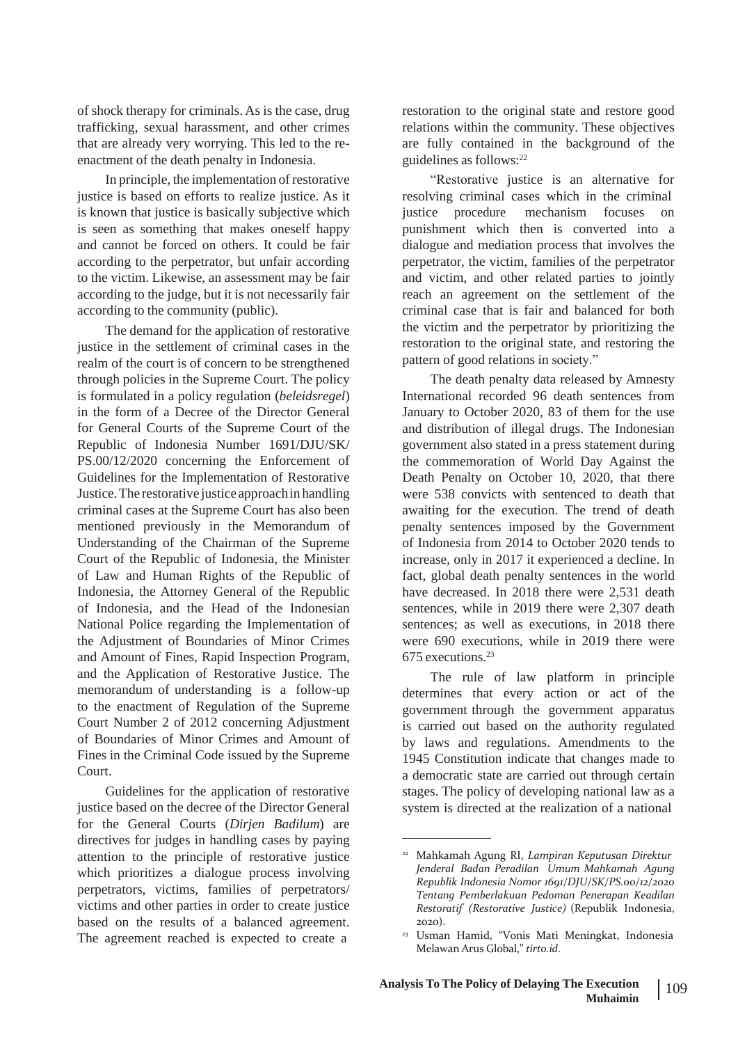of shock therapy for criminals. As is the case, drug trafficking, sexual harassment, and other crimes that are already very worrying. This led to the reenactment of the death penalty in Indonesia.

In principle, the implementation of restorative justice is based on efforts to realize justice. As it is known that justice is basically subjective which is seen as something that makes oneself happy and cannot be forced on others. It could be fair according to the perpetrator, but unfair according to the victim. Likewise, an assessment may be fair according to the judge, but it is not necessarily fair according to the community (public).

The demand for the application of restorative justice in the settlement of criminal cases in the realm of the court is of concern to be strengthened through policies in the Supreme Court. The policy is formulated in a policy regulation (*beleidsregel*) in the form of a Decree of the Director General for General Courts of the Supreme Court of the Republic of Indonesia Number 1691/DJU/SK/ PS.00/12/2020 concerning the Enforcement of Guidelines for the Implementation of Restorative Justice.The restorative justice approachin handling criminal cases at the Supreme Court has also been mentioned previously in the Memorandum of Understanding of the Chairman of the Supreme Court of the Republic of Indonesia, the Minister of Law and Human Rights of the Republic of Indonesia, the Attorney General of the Republic of Indonesia, and the Head of the Indonesian National Police regarding the Implementation of the Adjustment of Boundaries of Minor Crimes and Amount of Fines, Rapid Inspection Program, and the Application of Restorative Justice. The memorandum of understanding is a follow-up to the enactment of Regulation of the Supreme Court Number 2 of 2012 concerning Adjustment of Boundaries of Minor Crimes and Amount of Fines in the Criminal Code issued by the Supreme Court.

Guidelines for the application of restorative justice based on the decree of the Director General for the General Courts (*Dirjen Badilum*) are directives for judges in handling cases by paying attention to the principle of restorative justice which prioritizes a dialogue process involving perpetrators, victims, families of perpetrators/ victims and other parties in order to create justice based on the results of a balanced agreement. The agreement reached is expected to create a

restoration to the original state and restore good relations within the community. These objectives are fully contained in the background of the guidelines as follows: $22$ 

"Restorative justice is an alternative for resolving criminal cases which in the criminal justice procedure mechanism focuses on punishment which then is converted into a dialogue and mediation process that involves the perpetrator, the victim, families of the perpetrator and victim, and other related parties to jointly reach an agreement on the settlement of the criminal case that is fair and balanced for both the victim and the perpetrator by prioritizing the restoration to the original state, and restoring the pattern of good relations in society."

The death penalty data released by Amnesty International recorded 96 death sentences from January to October 2020, 83 of them for the use and distribution of illegal drugs. The Indonesian government also stated in a press statement during the commemoration of World Day Against the Death Penalty on October 10, 2020, that there were 538 convicts with sentenced to death that awaiting for the execution. The trend of death penalty sentences imposed by the Government of Indonesia from 2014 to October 2020 tends to increase, only in 2017 it experienced a decline. In fact, global death penalty sentences in the world have decreased. In 2018 there were 2,531 death sentences, while in 2019 there were 2,307 death sentences; as well as executions, in 2018 there were 690 executions, while in 2019 there were 675 executions.<sup>23</sup>

The rule of law platform in principle determines that every action or act of the government through the government apparatus is carried out based on the authority regulated by laws and regulations. Amendments to the 1945 Constitution indicate that changes made to a democratic state are carried out through certain stages. The policy of developing national law as a system is directed at the realization of a national

<sup>22</sup> Mahkamah Agung RI, *Lampiran Keputusan Direktur Jenderal Badan Peradilan Umum Mahkamah Agung Republik Indonesia Nomor 1691/DJU/SK/PS.00/12/2020 Tentang Pemberlakuan Pedoman Penerapan Keadilan Restoratif (Restorative Justice)* (Republik Indonesia, 2020).

Usman Hamid, "Vonis Mati Meningkat, Indonesia 23 Melawan Arus Global," *tirto.id*.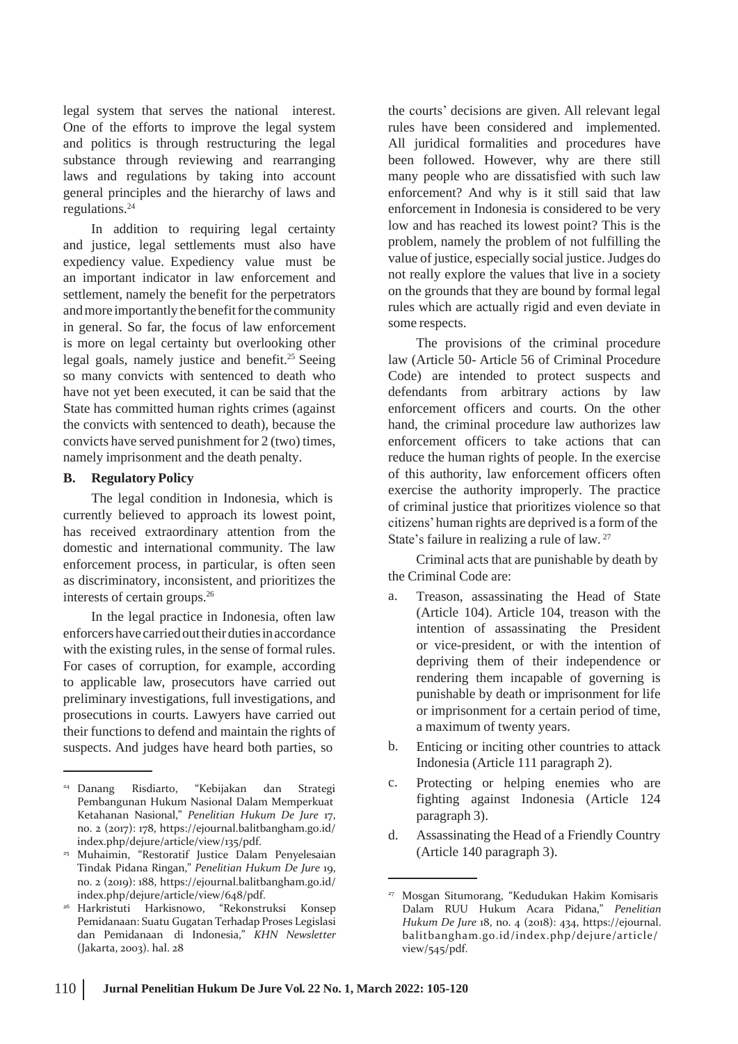legal system that serves the national interest. One of the efforts to improve the legal system and politics is through restructuring the legal substance through reviewing and rearranging laws and regulations by taking into account general principles and the hierarchy of laws and regulations.<sup>24</sup>

In addition to requiring legal certainty and justice, legal settlements must also have expediency value. Expediency value must be an important indicator in law enforcement and settlement, namely the benefit for the perpetrators and more importantly the benefit for the community in general. So far, the focus of law enforcement is more on legal certainty but overlooking other legal goals, namely justice and benefit.<sup>25</sup> Seeing so many convicts with sentenced to death who have not yet been executed, it can be said that the State has committed human rights crimes (against the convicts with sentenced to death), because the convicts have served punishment for 2 (two) times, namely imprisonment and the death penalty.

#### **B. Regulatory Policy**

The legal condition in Indonesia, which is currently believed to approach its lowest point, has received extraordinary attention from the domestic and international community. The law enforcement process, in particular, is often seen as discriminatory, inconsistent, and prioritizes the interests of certain groups.<sup>26</sup>

In the legal practice in Indonesia, often law enforcershave carriedouttheir dutiesinaccordance with the existing rules, in the sense of formal rules. For cases of corruption, for example, according to applicable law, prosecutors have carried out preliminary investigations, full investigations, and prosecutions in courts. Lawyers have carried out their functions to defend and maintain the rights of suspects. And judges have heard both parties, so

the courts' decisions are given. All relevant legal rules have been considered and implemented. All juridical formalities and procedures have been followed. However, why are there still many people who are dissatisfied with such law enforcement? And why is it still said that law enforcement in Indonesia is considered to be very low and has reached its lowest point? This is the problem, namely the problem of not fulfilling the value of justice, especially social justice.Judges do not really explore the values that live in a society on the grounds that they are bound by formal legal rules which are actually rigid and even deviate in some respects.

The provisions of the criminal procedure law (Article 50- Article 56 of Criminal Procedure Code) are intended to protect suspects and defendants from arbitrary actions by law enforcement officers and courts. On the other hand, the criminal procedure law authorizes law enforcement officers to take actions that can reduce the human rights of people. In the exercise of this authority, law enforcement officers often exercise the authority improperly. The practice of criminal justice that prioritizes violence so that citizens'human rights are deprived is a form of the State's failure in realizing a rule of law. 27

Criminal acts that are punishable by death by the Criminal Code are:

- a. Treason, assassinating the Head of State (Article 104). Article 104, treason with the intention of assassinating the President or vice-president, or with the intention of depriving them of their independence or rendering them incapable of governing is punishable by death or imprisonment for life or imprisonment for a certain period of time, a maximum of twenty years.
- Enticing or inciting other countries to attack Indonesia (Article 111 paragraph 2). b.
- Protecting or helping enemies who are fighting against Indonesia (Article 124 paragraph 3).
- Assassinating the Head of a Friendly Country (Article 140 paragraph 3). d.

<sup>&</sup>lt;sup>24</sup> Danang Risdiarto, "Kebijakan dan Strategi C. Pembangunan Hukum Nasional Dalam Memperkuat Ketahanan Nasional," *Penelitian Hukum De Jure* 17, no. 2 (2017): 178, https://ejournal.balitbangham.go.id/ index.php/dejure/article/view/135/pdf.

Muhaimin, "Restoratif Justice Dalam Penyelesaian 25 Tindak Pidana Ringan," *Penelitian Hukum De Jure* 19, no. 2 (2019): 188, https://ejournal.balitbangham.go.id/ index.php/dejure/article/view/648/pdf.

Harkristuti Harkisnowo, "Rekonstruksi Konsep Pemidanaan: Suatu Gugatan Terhadap Proses Legislasi dan Pemidanaan di Indonesia," *KHN Newsletter* (Jakarta, 2003). hal. 28 26

<sup>27</sup> Mosgan Situmorang, "Kedudukan Hakim Komisaris Dalam RUU Hukum Acara Pidana," *Penelitian Hukum De Jure* 18, no. 4 (2018): 434, https://ejournal. balitbangham.go.id/index.php/dejure/article/ view/545/pdf.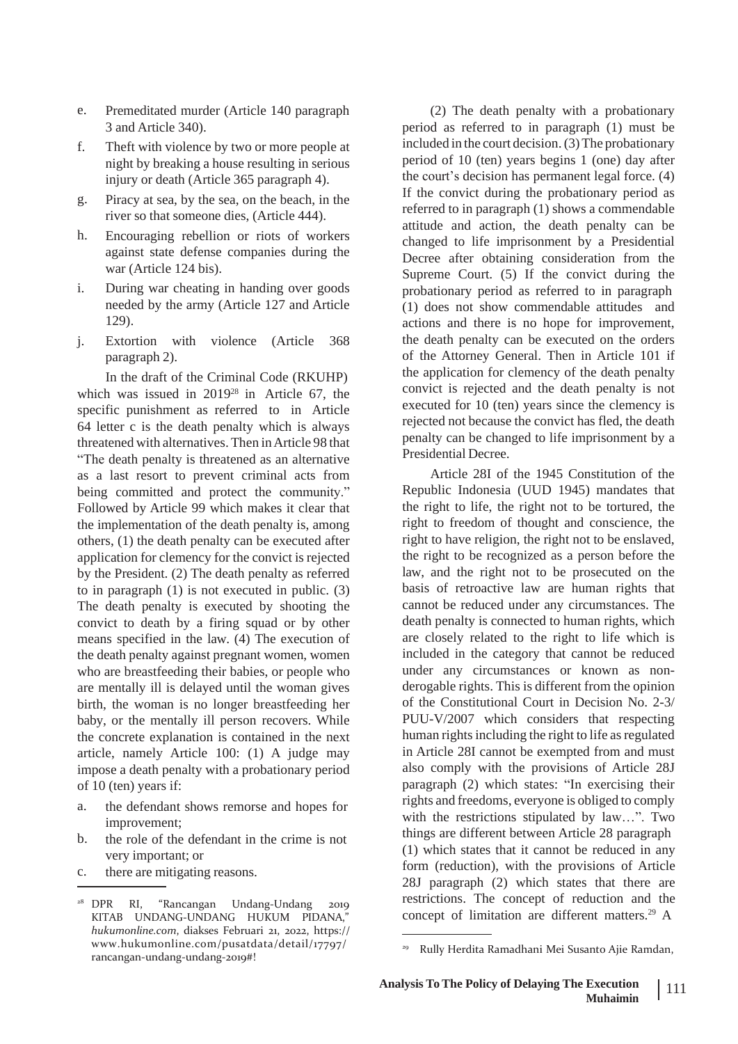- e. Premeditated murder (Article 140 paragraph 3 and Article 340).
- Theft with violence by two or more people at night by breaking a house resulting in serious injury or death (Article 365 paragraph 4). f.
- Piracy at sea, by the sea, on the beach, in the river so that someone dies, (Article 444). g.
- Encouraging rebellion or riots of workers against state defense companies during the war (Article 124 bis). h.
- During war cheating in handing over goods needed by the army (Article 127 and Article 129). i.
- Extortion with violence (Article 368 paragraph 2). j.

In the draft of the Criminal Code (RKUHP) which was issued in 2019<sup>28</sup> in Article 67, the specific punishment as referred to in Article 64 letter c is the death penalty which is always threatened with alternatives. Then in Article 98 that "The death penalty is threatened as an alternative as a last resort to prevent criminal acts from being committed and protect the community." Followed by Article 99 which makes it clear that the implementation of the death penalty is, among others, (1) the death penalty can be executed after application for clemency for the convict is rejected by the President. (2) The death penalty as referred to in paragraph (1) is not executed in public. (3) The death penalty is executed by shooting the convict to death by a firing squad or by other means specified in the law. (4) The execution of the death penalty against pregnant women, women who are breastfeeding their babies, or people who are mentally ill is delayed until the woman gives birth, the woman is no longer breastfeeding her baby, or the mentally ill person recovers. While the concrete explanation is contained in the next article, namely Article 100: (1) A judge may impose a death penalty with a probationary period of 10 (ten) years if:

- a. the defendant shows remorse and hopes for improvement;
- the role of the defendant in the crime is not very important; or b.
- there are mitigating reasons. c.

(2) The death penalty with a probationary period as referred to in paragraph (1) must be included in the court decision. (3) The probationary period of 10 (ten) years begins 1 (one) day after the court's decision has permanent legal force. (4) If the convict during the probationary period as referred to in paragraph (1) shows a commendable attitude and action, the death penalty can be changed to life imprisonment by a Presidential Decree after obtaining consideration from the Supreme Court. (5) If the convict during the probationary period as referred to in paragraph (1) does not show commendable attitudes and actions and there is no hope for improvement, the death penalty can be executed on the orders of the Attorney General. Then in Article 101 if the application for clemency of the death penalty convict is rejected and the death penalty is not executed for 10 (ten) years since the clemency is rejected not because the convict has fled, the death penalty can be changed to life imprisonment by a Presidential Decree.

Article 28I of the 1945 Constitution of the Republic Indonesia (UUD 1945) mandates that the right to life, the right not to be tortured, the right to freedom of thought and conscience, the right to have religion, the right not to be enslaved, the right to be recognized as a person before the law, and the right not to be prosecuted on the basis of retroactive law are human rights that cannot be reduced under any circumstances. The death penalty is connected to human rights, which are closely related to the right to life which is included in the category that cannot be reduced under any circumstances or known as nonderogable rights. This is different from the opinion of the Constitutional Court in Decision No. 2-3/ PUU-V/2007 which considers that respecting human rights including the right to life as regulated in Article 28I cannot be exempted from and must also comply with the provisions of Article 28J paragraph (2) which states: "In exercising their rights and freedoms, everyone is obliged to comply with the restrictions stipulated by law…". Two things are different between Article 28 paragraph (1) which states that it cannot be reduced in any form (reduction), with the provisions of Article 28J paragraph (2) which states that there are restrictions. The concept of reduction and the concept of limitation are different matters.29 A

<sup>28</sup> DPR RI, "Rancangan Undang-Undang 2019 KITAB UNDANG-UNDANG HUKUM PIDANA," *hukumonline.com*, diakses Februari 21, 2022, https:/[/](http://www.hukumonline.com/pusatdata/detail/17797/) [www.hukumonline.com/pusatdata/detail/17797/](http://www.hukumonline.com/pusatdata/detail/17797/) rancangan-undang-undang-2019#!

<sup>29</sup> Rully Herdita Ramadhani Mei Susanto Ajie Ramdan,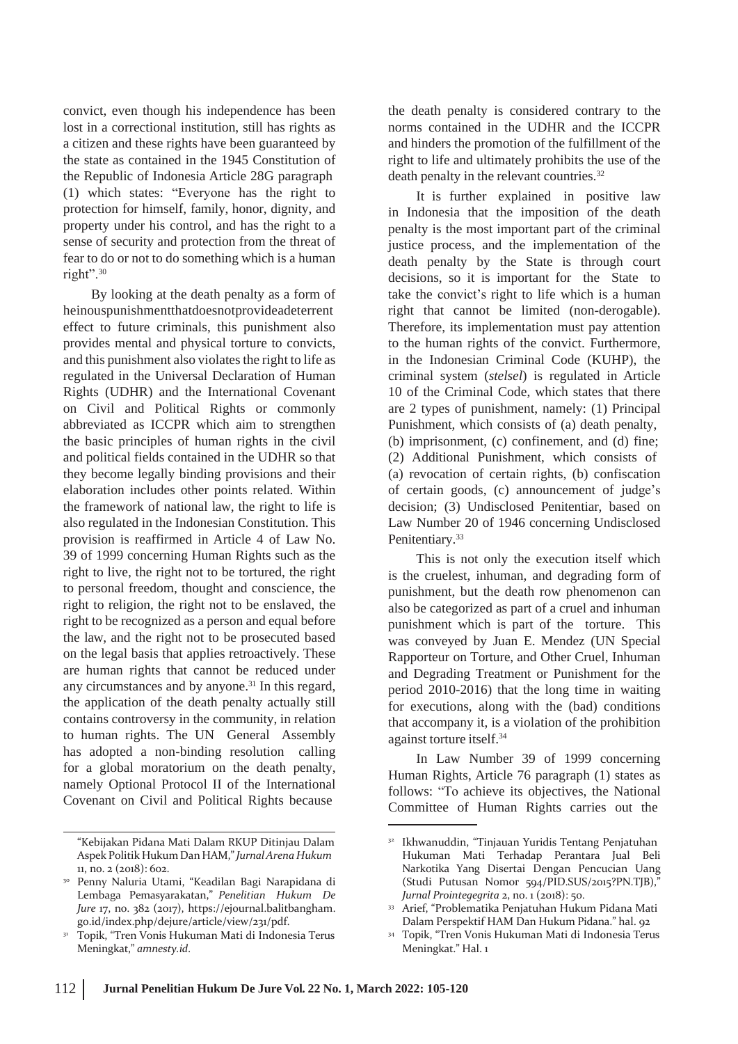convict, even though his independence has been lost in a correctional institution, still has rights as a citizen and these rights have been guaranteed by the state as contained in the 1945 Constitution of the Republic of Indonesia Article 28G paragraph (1) which states: "Everyone has the right to protection for himself, family, honor, dignity, and property under his control, and has the right to a sense of security and protection from the threat of fear to do or not to do something which is a human right".<sup>30</sup>

By looking at the death penalty as a form of heinouspunishmentthatdoesnotprovideadeterrent effect to future criminals, this punishment also provides mental and physical torture to convicts, and this punishment also violates the right to life as regulated in the Universal Declaration of Human Rights (UDHR) and the International Covenant on Civil and Political Rights or commonly abbreviated as ICCPR which aim to strengthen the basic principles of human rights in the civil and political fields contained in the UDHR so that they become legally binding provisions and their elaboration includes other points related. Within the framework of national law, the right to life is also regulated in the Indonesian Constitution. This provision is reaffirmed in Article 4 of Law No. 39 of 1999 concerning Human Rights such as the right to live, the right not to be tortured, the right to personal freedom, thought and conscience, the right to religion, the right not to be enslaved, the right to be recognized as a person and equal before the law, and the right not to be prosecuted based on the legal basis that applies retroactively. These are human rights that cannot be reduced under any circumstances and by anyone.<sup>31</sup> In this regard, the application of the death penalty actually still contains controversy in the community, in relation to human rights. The UN General Assembly has adopted a non-binding resolution calling for a global moratorium on the death penalty, namely Optional Protocol II of the International Covenant on Civil and Political Rights because

the death penalty is considered contrary to the norms contained in the UDHR and the ICCPR and hinders the promotion of the fulfillment of the right to life and ultimately prohibits the use of the death penalty in the relevant countries.<sup>32</sup>

It is further explained in positive law in Indonesia that the imposition of the death penalty is the most important part of the criminal justice process, and the implementation of the death penalty by the State is through court decisions, so it is important for the State to take the convict's right to life which is a human right that cannot be limited (non-derogable). Therefore, its implementation must pay attention to the human rights of the convict. Furthermore, in the Indonesian Criminal Code (KUHP), the criminal system (*stelsel*) is regulated in Article 10 of the Criminal Code, which states that there are 2 types of punishment, namely: (1) Principal Punishment, which consists of (a) death penalty, (b) imprisonment, (c) confinement, and (d) fine; (2) Additional Punishment, which consists of (a) revocation of certain rights, (b) confiscation of certain goods, (c) announcement of judge's decision; (3) Undisclosed Penitentiar, based on Law Number 20 of 1946 concerning Undisclosed Penitentiary.<sup>33</sup>

This is not only the execution itself which is the cruelest, inhuman, and degrading form of punishment, but the death row phenomenon can also be categorized as part of a cruel and inhuman punishment which is part of the torture. This was conveyed by Juan E. Mendez (UN Special Rapporteur on Torture, and Other Cruel, Inhuman and Degrading Treatment or Punishment for the period 2010-2016) that the long time in waiting for executions, along with the (bad) conditions that accompany it, is a violation of the prohibition against torture itself.<sup>34</sup>

In Law Number 39 of 1999 concerning Human Rights, Article 76 paragraph (1) states as follows: "To achieve its objectives, the National Committee of Human Rights carries out the

<sup>&</sup>quot;Kebijakan Pidana Mati Dalam RKUP Ditinjau Dalam Aspek Politik Hukum DanHAM,"*JurnalArena Hukum* 11, no. 2 (2018): 602.

Penny Naluria Utami, "Keadilan Bagi Narapidana di 30 Lembaga Pemasyarakatan," *Penelitian Hukum De Jure* 17, no. 382 (2017), https://ejournal.balitbangham. go.id/index.php/dejure/article/view/231/pdf.

<sup>&</sup>lt;sup>31</sup> Topik, "Tren Vonis Hukuman Mati di Indonesia Terus 34 Meningkat," *amnesty.id*.

<sup>&</sup>lt;sup>32</sup> Ikhwanuddin, "Tinjauan Yuridis Tentang Penjatuhan Hukuman Mati Terhadap Perantara Jual Beli Narkotika Yang Disertai Dengan Pencucian Uang (Studi Putusan Nomor 594/PID.SUS/2015?PN.TJB)," *Jurnal Prointegegrita* 2, no. 1 (2018): 50.

Arief, "Problematika Penjatuhan Hukum Pidana Mati 33 Dalam Perspektif HAM Dan Hukum Pidana." hal. 92

Topik, "Tren Vonis Hukuman Mati di Indonesia Terus Meningkat." Hal. 1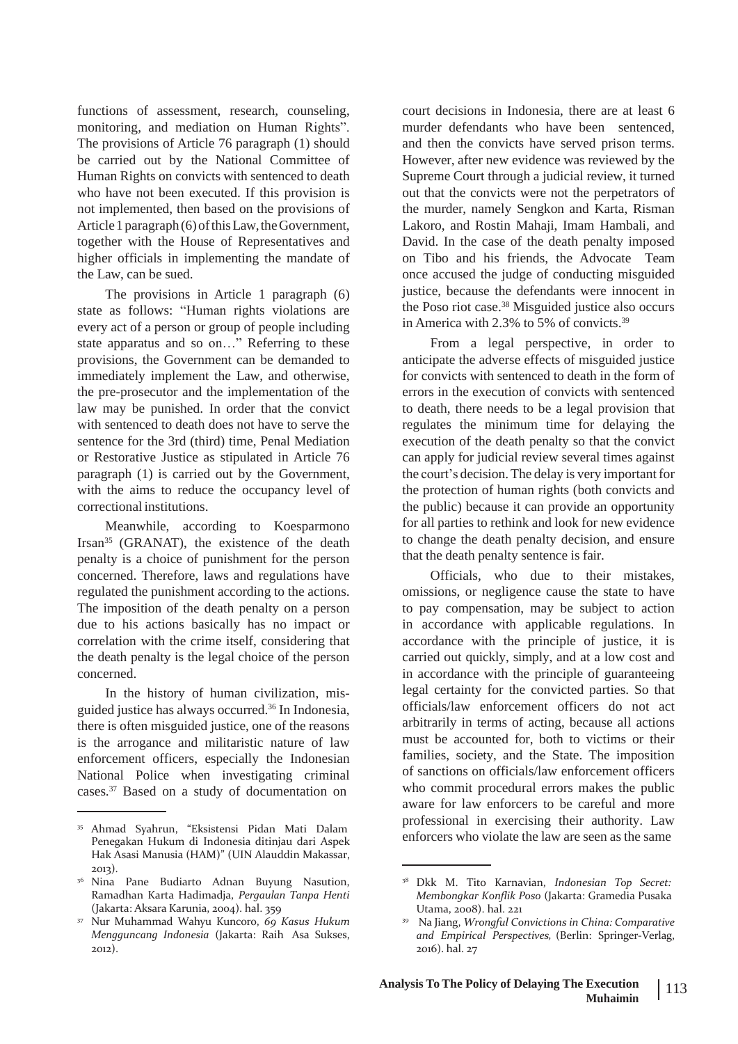functions of assessment, research, counseling, monitoring, and mediation on Human Rights". The provisions of Article 76 paragraph (1) should be carried out by the National Committee of Human Rights on convicts with sentenced to death who have not been executed. If this provision is not implemented, then based on the provisions of Article 1 paragraph (6) of this Law, the Government, together with the House of Representatives and higher officials in implementing the mandate of the Law, can be sued.

The provisions in Article 1 paragraph (6) state as follows: "Human rights violations are every act of a person or group of people including state apparatus and so on…" Referring to these provisions, the Government can be demanded to immediately implement the Law, and otherwise, the pre-prosecutor and the implementation of the law may be punished. In order that the convict with sentenced to death does not have to serve the sentence for the 3rd (third) time, Penal Mediation or Restorative Justice as stipulated in Article 76 paragraph (1) is carried out by the Government, with the aims to reduce the occupancy level of correctional institutions.

Meanwhile, according to Koesparmono Irsan<sup>35</sup> (GRANAT), the existence of the death penalty is a choice of punishment for the person concerned. Therefore, laws and regulations have regulated the punishment according to the actions. The imposition of the death penalty on a person due to his actions basically has no impact or correlation with the crime itself, considering that the death penalty is the legal choice of the person concerned.

In the history of human civilization, misguided justice has always occurred.<sup>36</sup> In Indonesia, there is often misguided justice, one of the reasons is the arrogance and militaristic nature of law enforcement officers, especially the Indonesian National Police when investigating criminal cases.<sup>37</sup> Based on a study of documentation on

court decisions in Indonesia, there are at least 6 murder defendants who have been sentenced, and then the convicts have served prison terms. However, after new evidence was reviewed by the Supreme Court through a judicial review, it turned out that the convicts were not the perpetrators of the murder, namely Sengkon and Karta, Risman Lakoro, and Rostin Mahaji, Imam Hambali, and David. In the case of the death penalty imposed on Tibo and his friends, the Advocate Team once accused the judge of conducting misguided justice, because the defendants were innocent in the Poso riot case.<sup>38</sup> Misguided justice also occurs in America with 2.3% to 5% of convicts.<sup>39</sup>

From a legal perspective, in order to anticipate the adverse effects of misguided justice for convicts with sentenced to death in the form of errors in the execution of convicts with sentenced to death, there needs to be a legal provision that regulates the minimum time for delaying the execution of the death penalty so that the convict can apply for judicial review several times against the court's decision. The delay is very important for the protection of human rights (both convicts and the public) because it can provide an opportunity for all parties to rethink and look for new evidence to change the death penalty decision, and ensure that the death penalty sentence is fair.

Officials, who due to their mistakes, omissions, or negligence cause the state to have to pay compensation, may be subject to action in accordance with applicable regulations. In accordance with the principle of justice, it is carried out quickly, simply, and at a low cost and in accordance with the principle of guaranteeing legal certainty for the convicted parties. So that officials/law enforcement officers do not act arbitrarily in terms of acting, because all actions must be accounted for, both to victims or their families, society, and the State. The imposition of sanctions on officials/law enforcement officers who commit procedural errors makes the public aware for law enforcers to be careful and more professional in exercising their authority. Law enforcers who violate the law are seen as the same

<sup>35</sup> Ahmad Syahrun, "Eksistensi Pidan Mati Dalam Penegakan Hukum di Indonesia ditinjau dari Aspek Hak Asasi Manusia (HAM)" (UIN Alauddin Makassar, 2013).

<sup>&</sup>lt;sup>36</sup> Nina Pane Budiarto Adnan Buyung Nasution, Ramadhan Karta Hadimadja, *Pergaulan Tanpa Henti* (Jakarta: Aksara Karunia, 2004). hal. 359

Nur Muhammad Wahyu Kuncoro, *69 Kasus Hukum* 37 39 *Mengguncang Indonesia* (Jakarta: Raih Asa Sukses, 2012).

<sup>36</sup> <sup>38</sup> Dkk M. Tito Karnavian, *Indonesian Top Secret: Membongkar Konflik Poso* (Jakarta: Gramedia Pusaka Utama, 2008). hal. 221

Na Jiang, *Wrongful Convictions in China: Comparative and Empirical Perspectives,* (Berlin: Springer-Verlag, 2016). hal. 27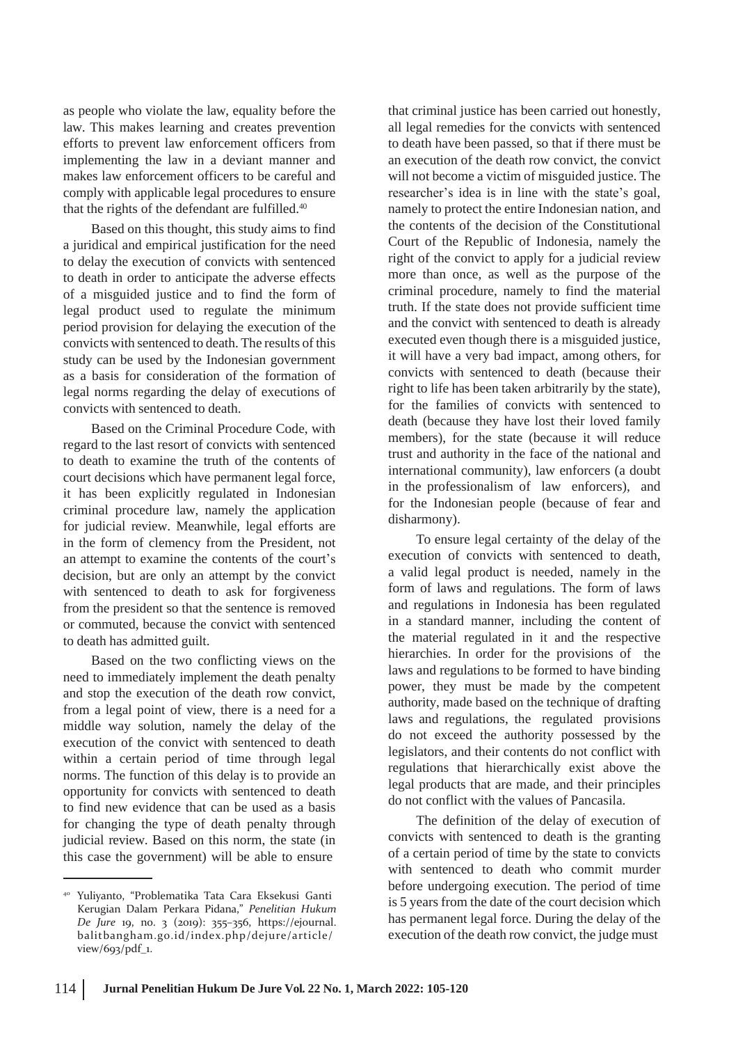as people who violate the law, equality before the law. This makes learning and creates prevention efforts to prevent law enforcement officers from implementing the law in a deviant manner and makes law enforcement officers to be careful and comply with applicable legal procedures to ensure that the rights of the defendant are fulfilled.<sup>40</sup>

Based on this thought, this study aims to find a juridical and empirical justification for the need to delay the execution of convicts with sentenced to death in order to anticipate the adverse effects of a misguided justice and to find the form of legal product used to regulate the minimum period provision for delaying the execution of the convicts with sentenced to death. The results of this study can be used by the Indonesian government as a basis for consideration of the formation of legal norms regarding the delay of executions of convicts with sentenced to death.

Based on the Criminal Procedure Code, with regard to the last resort of convicts with sentenced to death to examine the truth of the contents of court decisions which have permanent legal force, it has been explicitly regulated in Indonesian criminal procedure law, namely the application for judicial review. Meanwhile, legal efforts are in the form of clemency from the President, not an attempt to examine the contents of the court's decision, but are only an attempt by the convict with sentenced to death to ask for forgiveness from the president so that the sentence is removed or commuted, because the convict with sentenced to death has admitted guilt.

Based on the two conflicting views on the need to immediately implement the death penalty and stop the execution of the death row convict, from a legal point of view, there is a need for a middle way solution, namely the delay of the execution of the convict with sentenced to death within a certain period of time through legal norms. The function of this delay is to provide an opportunity for convicts with sentenced to death to find new evidence that can be used as a basis for changing the type of death penalty through judicial review. Based on this norm, the state (in this case the government) will be able to ensure

that criminal justice has been carried out honestly, all legal remedies for the convicts with sentenced to death have been passed, so that if there must be an execution of the death row convict, the convict will not become a victim of misguided justice. The researcher's idea is in line with the state's goal, namely to protect the entire Indonesian nation, and the contents of the decision of the Constitutional Court of the Republic of Indonesia, namely the right of the convict to apply for a judicial review more than once, as well as the purpose of the criminal procedure, namely to find the material truth. If the state does not provide sufficient time and the convict with sentenced to death is already executed even though there is a misguided justice, it will have a very bad impact, among others, for convicts with sentenced to death (because their right to life has been taken arbitrarily by the state), for the families of convicts with sentenced to death (because they have lost their loved family members), for the state (because it will reduce trust and authority in the face of the national and international community), law enforcers (a doubt in the professionalism of law enforcers), and for the Indonesian people (because of fear and disharmony).

To ensure legal certainty of the delay of the execution of convicts with sentenced to death, a valid legal product is needed, namely in the form of laws and regulations. The form of laws and regulations in Indonesia has been regulated in a standard manner, including the content of the material regulated in it and the respective hierarchies. In order for the provisions of the laws and regulations to be formed to have binding power, they must be made by the competent authority, made based on the technique of drafting laws and regulations, the regulated provisions do not exceed the authority possessed by the legislators, and their contents do not conflict with regulations that hierarchically exist above the legal products that are made, and their principles do not conflict with the values of Pancasila.

The definition of the delay of execution of convicts with sentenced to death is the granting of a certain period of time by the state to convicts with sentenced to death who commit murder before undergoing execution. The period of time is 5 years from the date of the court decision which has permanent legal force. During the delay of the execution of the death row convict, the judge must

<sup>40</sup> Yuliyanto, "Problematika Tata Cara Eksekusi Ganti Kerugian Dalam Perkara Pidana," *Penelitian Hukum De Jure* 19, no. 3 (2019): 355–356, https://ejournal. balitbangham.go.id/index.php/dejure/article/ view/693/pdf\_1.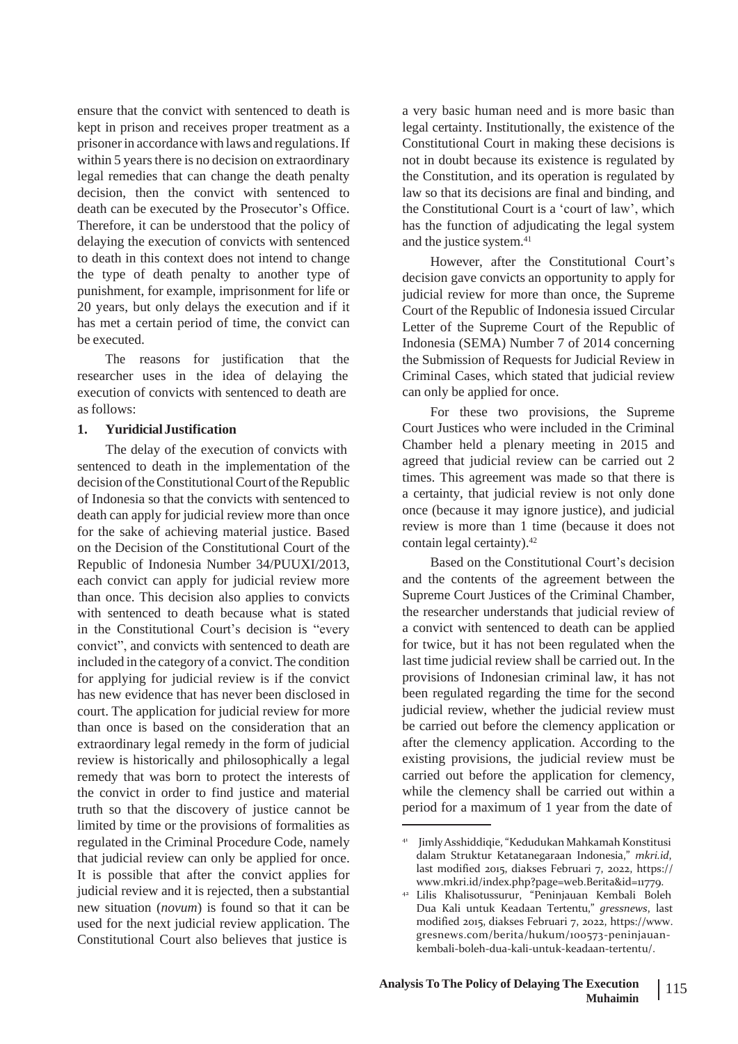ensure that the convict with sentenced to death is kept in prison and receives proper treatment as a prisonerin accordance with laws and regulations.If within 5 years there is no decision on extraordinary legal remedies that can change the death penalty decision, then the convict with sentenced to death can be executed by the Prosecutor's Office. Therefore, it can be understood that the policy of delaying the execution of convicts with sentenced to death in this context does not intend to change the type of death penalty to another type of punishment, for example, imprisonment for life or 20 years, but only delays the execution and if it has met a certain period of time, the convict can be executed.

The reasons for justification that the researcher uses in the idea of delaying the execution of convicts with sentenced to death are as follows:

### **1. Yuridicial Justification**

The delay of the execution of convicts with sentenced to death in the implementation of the decision of the Constitutional Court of the Republic of Indonesia so that the convicts with sentenced to death can apply for judicial review more than once for the sake of achieving material justice. Based on the Decision of the Constitutional Court of the Republic of Indonesia Number 34/PUUXI/2013, each convict can apply for judicial review more than once. This decision also applies to convicts with sentenced to death because what is stated in the Constitutional Court's decision is "every convict", and convicts with sentenced to death are included in the category of a convict. The condition for applying for judicial review is if the convict has new evidence that has never been disclosed in court. The application for judicial review for more than once is based on the consideration that an extraordinary legal remedy in the form of judicial review is historically and philosophically a legal remedy that was born to protect the interests of the convict in order to find justice and material truth so that the discovery of justice cannot be limited by time or the provisions of formalities as regulated in the Criminal Procedure Code, namely that judicial review can only be applied for once. It is possible that after the convict applies for judicial review and it is rejected, then a substantial new situation (*novum*) is found so that it can be used for the next judicial review application. The Constitutional Court also believes that justice is

a very basic human need and is more basic than legal certainty. Institutionally, the existence of the Constitutional Court in making these decisions is not in doubt because its existence is regulated by the Constitution, and its operation is regulated by law so that its decisions are final and binding, and the Constitutional Court is a 'court of law', which has the function of adjudicating the legal system and the justice system.<sup>41</sup>

However, after the Constitutional Court's decision gave convicts an opportunity to apply for judicial review for more than once, the Supreme Court of the Republic of Indonesia issued Circular Letter of the Supreme Court of the Republic of Indonesia (SEMA) Number 7 of 2014 concerning the Submission of Requests for Judicial Review in Criminal Cases, which stated that judicial review can only be applied for once.

For these two provisions, the Supreme Court Justices who were included in the Criminal Chamber held a plenary meeting in 2015 and agreed that judicial review can be carried out 2 times. This agreement was made so that there is a certainty, that judicial review is not only done once (because it may ignore justice), and judicial review is more than 1 time (because it does not contain legal certainty).<sup>42</sup>

Based on the Constitutional Court's decision and the contents of the agreement between the Supreme Court Justices of the Criminal Chamber, the researcher understands that judicial review of a convict with sentenced to death can be applied for twice, but it has not been regulated when the last time judicial review shall be carried out. In the provisions of Indonesian criminal law, it has not been regulated regarding the time for the second judicial review, whether the judicial review must be carried out before the clemency application or after the clemency application. According to the existing provisions, the judicial review must be carried out before the application for clemency, while the clemency shall be carried out within a period for a maximum of 1 year from the date of

<sup>&</sup>lt;sup>41</sup> Jimly Asshiddiqie, "Kedudukan Mahkamah Konstitusi dalam Struktur Ketatanegaraan Indonesia," *mkri.id*, last modified 2015, diakses Februari 7, 2022, https:/[/](http://www.mkri.id/index.php?page=web.Berita&id=11779) [www.mkri.id/index.php?page=web.Berita&id=11779.](http://www.mkri.id/index.php?page=web.Berita&id=11779)

Lilis Khalisotussurur, "Peninjauan Kembali Boleh 42 Dua Kali untuk Keadaan Tertentu," *gressnews*, last modified 2015, diakses Februari 7, 2022, h[ttps://ww](http://www/)w. gresnews.com/berita/hukum/100573-peninjauankembali-boleh-dua-kali-untuk-keadaan-tertentu/.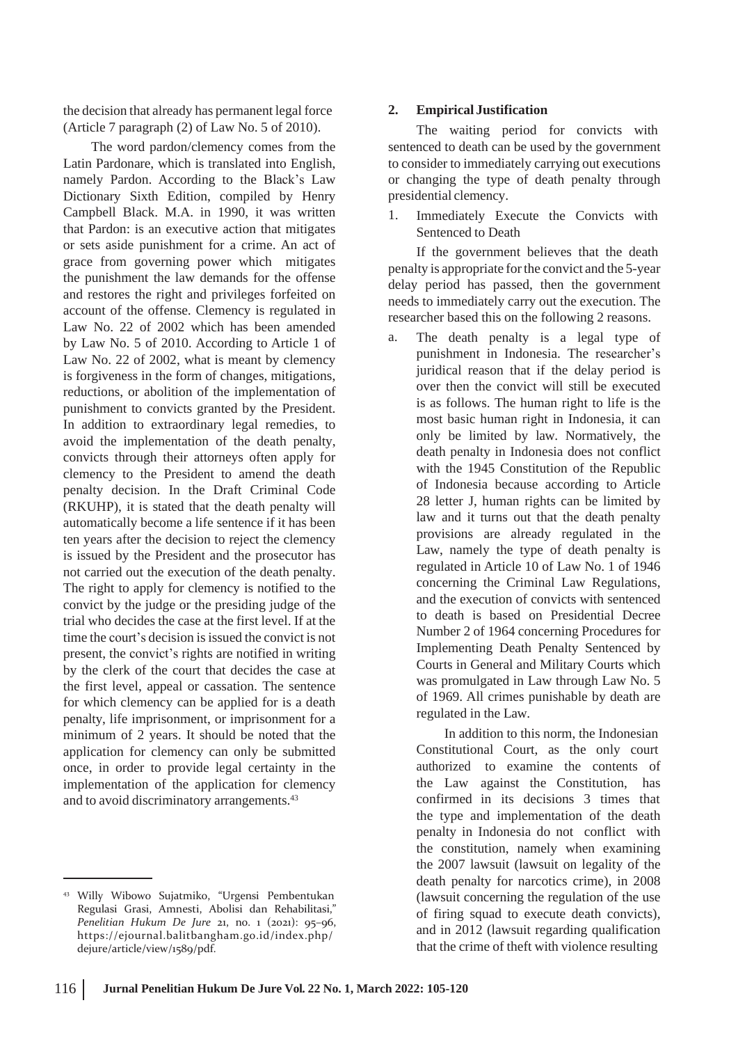the decision that already has permanent legal force (Article 7 paragraph (2) of Law No. 5 of 2010).

The word pardon/clemency comes from the Latin Pardonare, which is translated into English, namely Pardon. According to the Black's Law Dictionary Sixth Edition, compiled by Henry Campbell Black. M.A. in 1990, it was written that Pardon: is an executive action that mitigates or sets aside punishment for a crime. An act of grace from governing power which mitigates the punishment the law demands for the offense and restores the right and privileges forfeited on account of the offense. Clemency is regulated in Law No. 22 of 2002 which has been amended by Law No. 5 of 2010. According to Article 1 of Law No. 22 of 2002, what is meant by clemency is forgiveness in the form of changes, mitigations, reductions, or abolition of the implementation of punishment to convicts granted by the President. In addition to extraordinary legal remedies, to avoid the implementation of the death penalty, convicts through their attorneys often apply for clemency to the President to amend the death penalty decision. In the Draft Criminal Code (RKUHP), it is stated that the death penalty will automatically become a life sentence if it has been ten years after the decision to reject the clemency is issued by the President and the prosecutor has not carried out the execution of the death penalty. The right to apply for clemency is notified to the convict by the judge or the presiding judge of the trial who decides the case at the first level. If at the time the court's decision is issued the convict is not present, the convict's rights are notified in writing by the clerk of the court that decides the case at the first level, appeal or cassation. The sentence for which clemency can be applied for is a death penalty, life imprisonment, or imprisonment for a minimum of 2 years. It should be noted that the application for clemency can only be submitted once, in order to provide legal certainty in the implementation of the application for clemency and to avoid discriminatory arrangements.<sup>43</sup>

#### **2. Empirical Justification**

The waiting period for convicts with sentenced to death can be used by the government to consider to immediately carrying out executions or changing the type of death penalty through presidential clemency.

1. Immediately Execute the Convicts with Sentenced to Death

If the government believes that the death penalty is appropriate forthe convict and the 5-year delay period has passed, then the government needs to immediately carry out the execution. The researcher based this on the following 2 reasons.

a. The death penalty is a legal type of punishment in Indonesia. The researcher's juridical reason that if the delay period is over then the convict will still be executed is as follows. The human right to life is the most basic human right in Indonesia, it can only be limited by law. Normatively, the death penalty in Indonesia does not conflict with the 1945 Constitution of the Republic of Indonesia because according to Article 28 letter J, human rights can be limited by law and it turns out that the death penalty provisions are already regulated in the Law, namely the type of death penalty is regulated in Article 10 of Law No. 1 of 1946 concerning the Criminal Law Regulations, and the execution of convicts with sentenced to death is based on Presidential Decree Number 2 of 1964 concerning Procedures for Implementing Death Penalty Sentenced by Courts in General and Military Courts which was promulgated in Law through Law No. 5 of 1969. All crimes punishable by death are regulated in the Law.

In addition to this norm, the Indonesian Constitutional Court, as the only court authorized to examine the contents of the Law against the Constitution, has confirmed in its decisions 3 times that the type and implementation of the death penalty in Indonesia do not conflict with the constitution, namely when examining the 2007 lawsuit (lawsuit on legality of the death penalty for narcotics crime), in 2008 (lawsuit concerning the regulation of the use of firing squad to execute death convicts), and in 2012 (lawsuit regarding qualification that the crime of theft with violence resulting

<sup>43</sup> Willy Wibowo Sujatmiko, "Urgensi Pembentukan Regulasi Grasi, Amnesti, Abolisi dan Rehabilitasi," *Penelitian Hukum De Jure* 21, no. 1 (2021): 95–96, https://ejournal.balitbangham.go.id/index.php/ dejure/article/view/1589/pdf.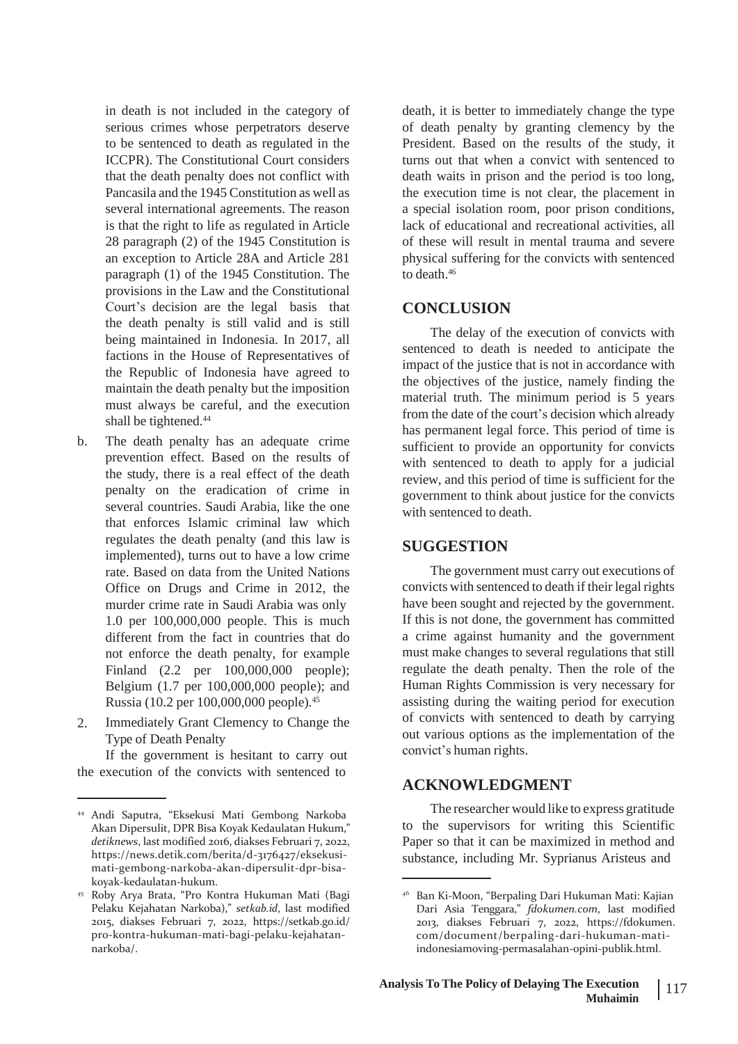in death is not included in the category of serious crimes whose perpetrators deserve to be sentenced to death as regulated in the ICCPR). The Constitutional Court considers that the death penalty does not conflict with Pancasila and the 1945 Constitution as well as several international agreements. The reason is that the right to life as regulated in Article 28 paragraph (2) of the 1945 Constitution is an exception to Article 28A and Article 281 paragraph (1) of the 1945 Constitution. The provisions in the Law and the Constitutional Court's decision are the legal basis that the death penalty is still valid and is still being maintained in Indonesia. In 2017, all factions in the House of Representatives of the Republic of Indonesia have agreed to maintain the death penalty but the imposition must always be careful, and the execution shall be tightened.<sup>44</sup>

- The death penalty has an adequate crime prevention effect. Based on the results of the study, there is a real effect of the death penalty on the eradication of crime in several countries. Saudi Arabia, like the one that enforces Islamic criminal law which regulates the death penalty (and this law is implemented), turns out to have a low crime rate. Based on data from the United Nations Office on Drugs and Crime in 2012, the murder crime rate in Saudi Arabia was only 1.0 per 100,000,000 people. This is much different from the fact in countries that do not enforce the death penalty, for example Finland (2.2 per 100,000,000 people); Belgium (1.7 per 100,000,000 people); and Russia (10.2 per 100,000,000 people).<sup>45</sup> b.
- Immediately Grant Clemency to Change the Type of Death Penalty 2.

If the government is hesitant to carry out the execution of the convicts with sentenced to

death, it is better to immediately change the type of death penalty by granting clemency by the President. Based on the results of the study, it turns out that when a convict with sentenced to death waits in prison and the period is too long, the execution time is not clear, the placement in a special isolation room, poor prison conditions, lack of educational and recreational activities, all of these will result in mental trauma and severe physical suffering for the convicts with sentenced to death.<sup>46</sup>

# **CONCLUSION**

The delay of the execution of convicts with sentenced to death is needed to anticipate the impact of the justice that is not in accordance with the objectives of the justice, namely finding the material truth. The minimum period is 5 years from the date of the court's decision which already has permanent legal force. This period of time is sufficient to provide an opportunity for convicts with sentenced to death to apply for a judicial review, and this period of time is sufficient for the government to think about justice for the convicts with sentenced to death.

# **SUGGESTION**

The government must carry out executions of convicts with sentenced to death if their legal rights have been sought and rejected by the government. If this is not done, the government has committed a crime against humanity and the government must make changes to several regulations that still regulate the death penalty. Then the role of the Human Rights Commission is very necessary for assisting during the waiting period for execution of convicts with sentenced to death by carrying out various options as the implementation of the convict's human rights.

# **ACKNOWLEDGMENT**

The researcher would like to express gratitude to the supervisors for writing this Scientific Paper so that it can be maximized in method and substance, including Mr. Syprianus Aristeus and

<sup>44</sup> Andi Saputra, "Eksekusi Mati Gembong Narkoba Akan Dipersulit, DPR Bisa Koyak Kedaulatan Hukum," *detiknews*, last modified 2016, diakses Februari 7, 2022, https://news.detik.com/berita/d-3176427/eksekusimati-gembong-narkoba-akan-dipersulit-dpr-bisakoyak-kedaulatan-hukum.

Roby Arya Brata, "Pro Kontra Hukuman Mati (Bagi Pelaku Kejahatan Narkoba)," *setkab.id*, last modified 2015, diakses Februari 7, 2022, https://setkab.go.id/ pro-kontra-hukuman-mati-bagi-pelaku-kejahatannarkoba/.

<sup>45</sup> <sup>46</sup> Ban Ki-Moon, "Berpaling Dari Hukuman Mati: Kajian Dari Asia Tenggara," *fdokumen.com*, last modified 2013, diakses Februari 7, 2022, https://fdokumen. com/document/berpaling-dari-hukuman-matiindonesiamoving-permasalahan-opini-publik.html.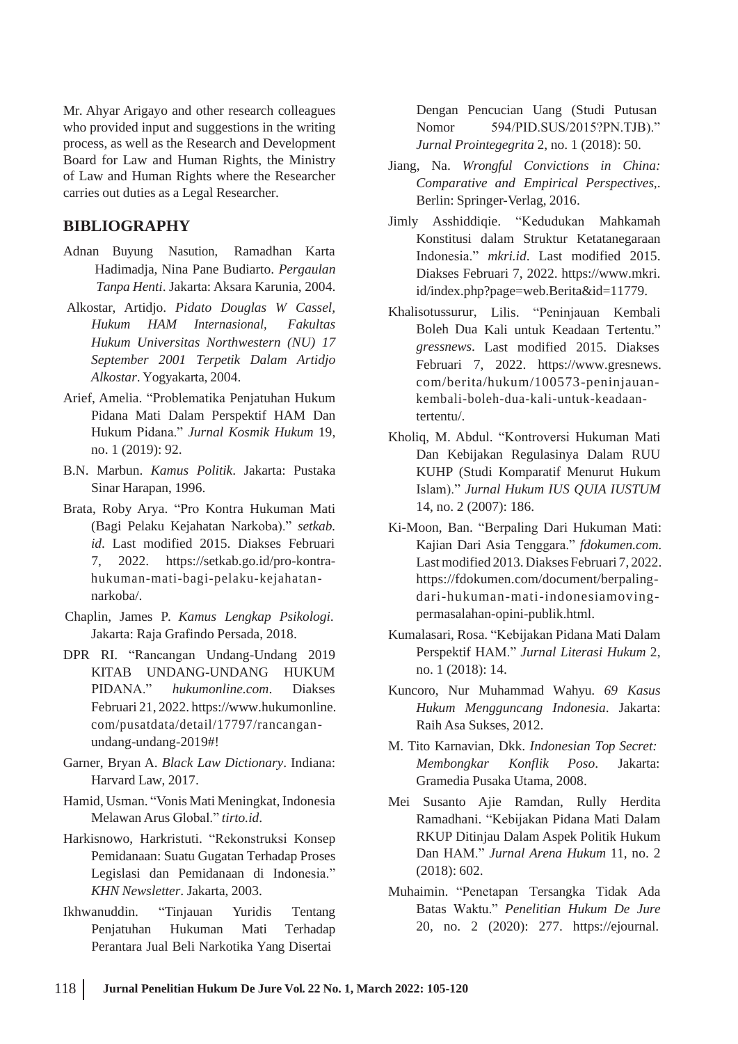Mr. Ahyar Arigayo and other research colleagues who provided input and suggestions in the writing process, as well as the Research and Development Board for Law and Human Rights, the Ministry of Law and Human Rights where the Researcher carries out duties as a Legal Researcher.

### **BIBLIOGRAPHY**

- Adnan Buyung Nasution, Ramadhan Karta Hadimadja, Nina Pane Budiarto. *Pergaulan Tanpa Henti*. Jakarta: Aksara Karunia, 2004.
- Alkostar, Artidjo. *Pidato Douglas W Cassel,*<br>Hukum HAM Internasional. Fakultas *Hukum HAM Internasional, Hukum Universitas Northwestern (NU) 17 September 2001 Terpetik Dalam Artidjo Alkostar*. Yogyakarta, 2004.
- Arief, Amelia. "Problematika Penjatuhan Hukum Pidana Mati Dalam Perspektif HAM Dan Hukum Pidana." *Jurnal Kosmik Hukum* 19, no. 1 (2019): 92.
- B.N. Marbun. *Kamus Politik*. Jakarta: Pustaka Sinar Harapan, 1996.
- Brata, Roby Arya. "Pro Kontra Hukuman Mati (Bagi Pelaku Kejahatan Narkoba)." *setkab. id*. Last modified 2015. Diakses Februari 7, 2022. https://setkab.go.id/pro-kontrahukuman-mati-bagi-pelaku-kejahatannarkoba/.
- Chaplin, James P. *Kamus Lengkap Psikologi*. Jakarta: Raja Grafindo Persada, 2018.
- DPR RI. "Rancangan Undang-Undang 2019 KITAB UNDANG-UNDANG HUKUM PIDANA." *hukumonline.com*. Diakses Februari 21, 2022. https://www.hukumonline. com/pusatdata/detail/17797/rancanganundang-undang-2019#!
- Garner, Bryan A. *Black Law Dictionary*. Indiana: Harvard Law, 2017.
- Hamid, Usman. "Vonis Mati Meningkat, Indonesia Melawan Arus Global." *tirto.id*.
- Harkisnowo, Harkristuti. "Rekonstruksi Konsep Pemidanaan: Suatu Gugatan Terhadap Proses Legislasi dan Pemidanaan di Indonesia." *KHN Newsletter*. Jakarta, 2003.
- Ikhwanuddin. "Tinjauan Yuridis Tentang Penjatuhan Hukuman Mati Terhadap Perantara Jual Beli Narkotika Yang Disertai

Dengan Pencucian Uang (Studi Putusan Nomor 594/PID.SUS/2015?PN.TJB)." *Jurnal Prointegegrita* 2, no. 1 (2018): 50.

- Jiang, Na. *Wrongful Convictions in China: Comparative and Empirical Perspectives,*. Berlin: Springer-Verlag, 2016.
- Jimly Asshiddiqie. "Kedudukan Mahkamah Konstitusi dalam Struktur Ketatanegaraan Indonesia." *mkri.id*. Last modified 2015. Diakses Februari 7, 2022. https://www.mkri. id/index.php?page=web.Berita&id=11779.
- Boleh Dua Kali untuk Keadaan Tertentu." *gressnews*. Last modified 2015. Diakses Khalisotussurur, Lilis. "Peninjauan Kembali Februari 7, 2022. https://www.gresnews. com/berita/hukum/100573-peninjauankembali-boleh-dua-kali-untuk-keadaantertentu/.
- Kholiq, M. Abdul. "Kontroversi Hukuman Mati Dan Kebijakan Regulasinya Dalam RUU KUHP (Studi Komparatif Menurut Hukum Islam)." *Jurnal Hukum IUS QUIA IUSTUM* 14, no. 2 (2007): 186.
- Ki-Moon, Ban. "Berpaling Dari Hukuman Mati: Kajian Dari Asia Tenggara." *fdokumen.com*. Lastmodified 2013. Diakses Februari 7, 2022. https://fdokumen.com/document/berpalingdari-hukuman-mati-indonesiamovingpermasalahan-opini-publik.html.
- Kumalasari, Rosa. "Kebijakan Pidana Mati Dalam Perspektif HAM." *Jurnal Literasi Hukum* 2, no. 1 (2018): 14.
- Kuncoro, Nur Muhammad Wahyu. *69 Kasus Hukum Mengguncang Indonesia*. Jakarta: Raih Asa Sukses, 2012.
- M. Tito Karnavian, Dkk. *Indonesian Top Secret: Membongkar Konflik Poso*. Jakarta: Gramedia Pusaka Utama, 2008.
- Mei Susanto Ajie Ramdan, Rully Herdita Ramadhani. "Kebijakan Pidana Mati Dalam RKUP Ditinjau Dalam Aspek Politik Hukum Dan HAM." *Jurnal Arena Hukum* 11, no. 2 (2018): 602.
- Muhaimin. "Penetapan Tersangka Tidak Ada Batas Waktu." *Penelitian Hukum De Jure* 20, no. 2 (2020): 277. https://ejournal.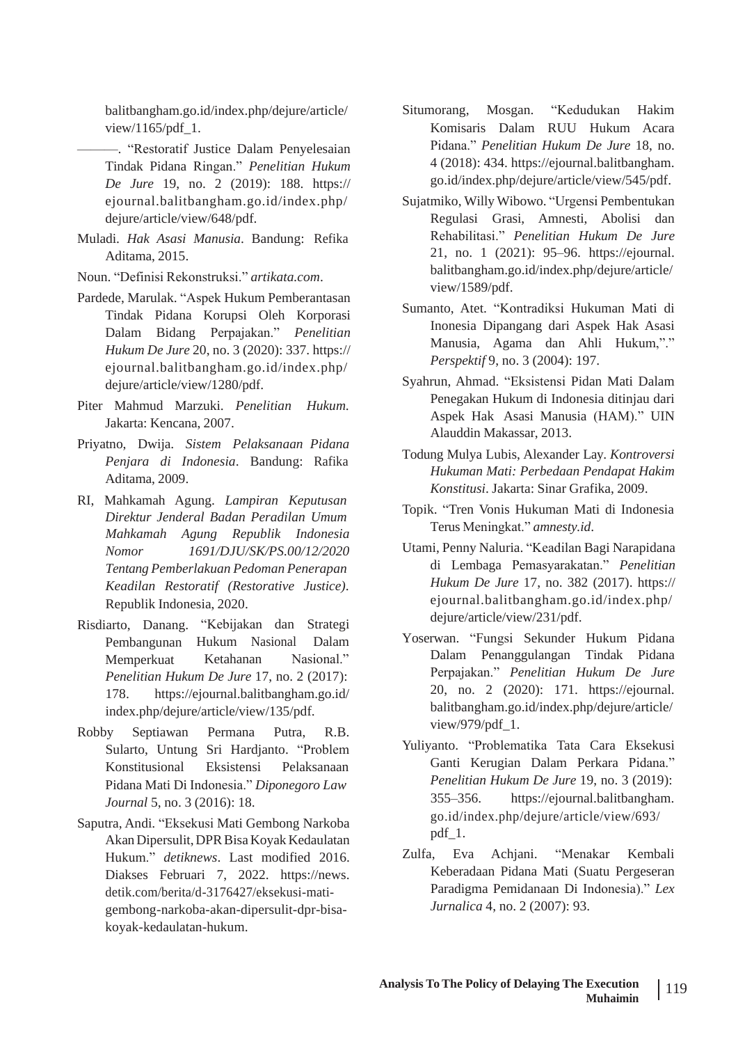balitbangham.go.id/index.php/dejure/article/ view/1165/pdf\_1.

- ———. "Restoratif Justice Dalam Penyelesaian Tindak Pidana Ringan." *Penelitian Hukum De Jure* 19, no. 2 (2019): 188. https:// ejournal.balitbangham.go.id/index.php/ dejure/article/view/648/pdf.
- Muladi. *Hak Asasi Manusia*. Bandung: Refika Aditama, 2015.
- Noun. "Definisi Rekonstruksi." *artikata.com*.
- Pardede, Marulak. "Aspek Hukum Pemberantasan Tindak Pidana Korupsi Oleh Korporasi Dalam Bidang Perpajakan." *Penelitian Hukum De Jure* 20, no. 3 (2020): 337. https:// ejournal.balitbangham.go.id/index.php/ dejure/article/view/1280/pdf.
- Piter Mahmud Marzuki. *Penelitian* Jakarta: Kencana, 2007. *Hukum*.
- Priyatno, Dwija. *Sistem Pelaksanaan Pidana Penjara di Indonesia*. Bandung: Rafika Aditama, 2009.
- RI, Mahkamah Agung. *Lampiran Keputusan Direktur Jenderal Badan Peradilan Umum Mahkamah Agung Republik Indonesia Nomor 1691/DJU/SK/PS.00/12/2020 Tentang Pemberlakuan Pedoman Penerapan Keadilan Restoratif (Restorative Justice)*. Republik Indonesia, 2020.
- Risdiarto, Danang. "Kebijakan dan Strategi Pembangunan Hukum Nasional Dalam Memperkuat Ketahanan Nasional." *Penelitian Hukum De Jure* 17, no. 2 (2017): 178. https://ejournal.balitbangham.go.id/ index.php/dejure/article/view/135/pdf.
- Robby Septiawan Permana Putra, R.B. Sularto, Untung Sri Hardjanto. "Problem Konstitusional Eksistensi Pelaksanaan Pidana Mati Di Indonesia." *Diponegoro Law Journal* 5, no. 3 (2016): 18.
- Saputra, Andi. "Eksekusi Mati Gembong Narkoba Akan Dipersulit, DPR Bisa Koyak Kedaulatan Hukum." *detiknews*. Last modified 2016. Diakses Februari 7, 2022. https://news. detik.com/berita/d-3176427/eksekusi-matigembong-narkoba-akan-dipersulit-dpr-bisakoyak-kedaulatan-hukum.
- Situmorang, Mosgan. "Kedudukan Hakim Komisaris Dalam RUU Hukum Acara Pidana." *Penelitian Hukum De Jure* 18, no. 4 (2018): 434. https://ejournal.balitbangham. go.id/index.php/dejure/article/view/545/pdf.
- Sujatmiko, Willy Wibowo. "Urgensi Pembentukan Regulasi Grasi, Amnesti, Abolisi dan Rehabilitasi." *Penelitian Hukum De Jure* 21, no. 1 (2021): 95–96. https://ejournal. balitbangham.go.id/index.php/dejure/article/ view/1589/pdf.
- Sumanto, Atet. "Kontradiksi Hukuman Mati di Inonesia Dipangang dari Aspek Hak Asasi Manusia, Agama dan Ahli Hukum,"." *Perspektif* 9, no. 3 (2004): 197.
- Syahrun, Ahmad. "Eksistensi Pidan Mati Dalam Penegakan Hukum di Indonesia ditinjau dari Aspek Hak Asasi Manusia (HAM)." UIN Alauddin Makassar, 2013.
- Todung Mulya Lubis, Alexander Lay. *Kontroversi Hukuman Mati: Perbedaan Pendapat Hakim Konstitusi*. Jakarta: Sinar Grafika, 2009.
- Topik. "Tren Vonis Hukuman Mati di Indonesia Terus Meningkat." *amnesty.id*.
- Utami, Penny Naluria. "Keadilan Bagi Narapidana di Lembaga Pemasyarakatan." *Penelitian Hukum De Jure* 17, no. 382 (2017). https:// ejournal.balitbangham.go.id/index.php/ dejure/article/view/231/pdf.
- Yoserwan. "Fungsi Sekunder Hukum Pidana Dalam Penanggulangan Tindak Pidana Perpajakan." *Penelitian Hukum De Jure* 20, no. 2 (2020): 171. https://ejournal. balitbangham.go.id/index.php/dejure/article/ view/979/pdf\_1.
- Yuliyanto. "Problematika Tata Cara Eksekusi Ganti Kerugian Dalam Perkara Pidana." *Penelitian Hukum De Jure* 19, no. 3 (2019): 355–356. https://ejournal.balitbangham. go.id/index.php/dejure/article/view/693/ pdf\_1.
- Zulfa, Eva Achjani. "Menakar Kembali Keberadaan Pidana Mati (Suatu Pergeseran Paradigma Pemidanaan Di Indonesia)." *Lex Jurnalica* 4, no. 2 (2007): 93.